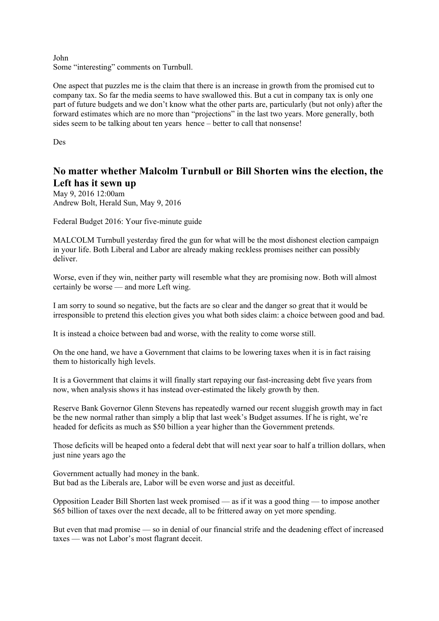John Some "interesting" comments on Turnbull.

One aspect that puzzles me is the claim that there is an increase in growth from the promised cut to company tax. So far the media seems to have swallowed this. But a cut in company tax is only one part of future budgets and we don't know what the other parts are, particularly (but not only) after the forward estimates which are no more than "projections" in the last two years. More generally, both sides seem to be talking about ten years hence – better to call that nonsense!

Des

## **No matter whether Malcolm Turnbull or Bill Shorten wins the election, the Left has it sewn up**

May 9, 2016 12:00am Andrew Bolt, Herald Sun, May 9, 2016

Federal Budget 2016: Your five-minute guide

MALCOLM Turnbull yesterday fired the gun for what will be the most dishonest election campaign in your life. Both Liberal and Labor are already making reckless promises neither can possibly deliver.

Worse, even if they win, neither party will resemble what they are promising now. Both will almost certainly be worse — and more Left wing.

I am sorry to sound so negative, but the facts are so clear and the danger so great that it would be irresponsible to pretend this election gives you what both sides claim: a choice between good and bad.

It is instead a choice between bad and worse, with the reality to come worse still.

On the one hand, we have a Government that claims to be lowering taxes when it is in fact raising them to historically high levels.

It is a Government that claims it will finally start repaying our fast-increasing debt five years from now, when analysis shows it has instead over-estimated the likely growth by then.

Reserve Bank Governor Glenn Stevens has repeatedly warned our recent sluggish growth may in fact be the new normal rather than simply a blip that last week's Budget assumes. If he is right, we're headed for deficits as much as \$50 billion a year higher than the Government pretends.

Those deficits will be heaped onto a federal debt that will next year soar to half a trillion dollars, when just nine years ago the

Government actually had money in the bank. But bad as the Liberals are, Labor will be even worse and just as deceitful.

Opposition Leader Bill Shorten last week promised — as if it was a good thing — to impose another \$65 billion of taxes over the next decade, all to be frittered away on yet more spending.

But even that mad promise — so in denial of our financial strife and the deadening effect of increased taxes — was not Labor's most flagrant deceit.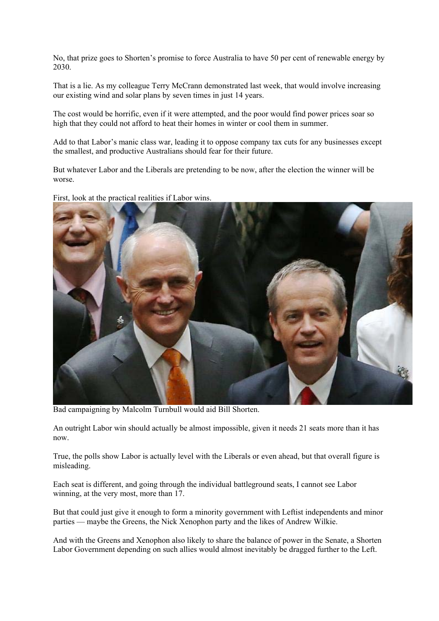No, that prize goes to Shorten's promise to force Australia to have 50 per cent of renewable energy by 2030.

That is a lie. As my colleague Terry McCrann demonstrated last week, that would involve increasing our existing wind and solar plans by seven times in just 14 years.

The cost would be horrific, even if it were attempted, and the poor would find power prices soar so high that they could not afford to heat their homes in winter or cool them in summer.

Add to that Labor's manic class war, leading it to oppose company tax cuts for any businesses except the smallest, and productive Australians should fear for their future.

But whatever Labor and the Liberals are pretending to be now, after the election the winner will be worse.

First, look at the practical realities if Labor wins.



Bad campaigning by Malcolm Turnbull would aid Bill Shorten.

An outright Labor win should actually be almost impossible, given it needs 21 seats more than it has now.

True, the polls show Labor is actually level with the Liberals or even ahead, but that overall figure is misleading.

Each seat is different, and going through the individual battleground seats, I cannot see Labor winning, at the very most, more than 17.

But that could just give it enough to form a minority government with Leftist independents and minor parties — maybe the Greens, the Nick Xenophon party and the likes of Andrew Wilkie.

And with the Greens and Xenophon also likely to share the balance of power in the Senate, a Shorten Labor Government depending on such allies would almost inevitably be dragged further to the Left.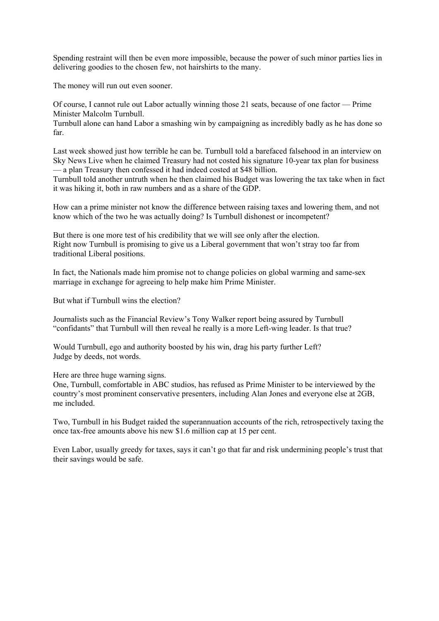Spending restraint will then be even more impossible, because the power of such minor parties lies in delivering goodies to the chosen few, not hairshirts to the many.

The money will run out even sooner.

Of course, I cannot rule out Labor actually winning those 21 seats, because of one factor — Prime Minister Malcolm Turnbull.

Turnbull alone can hand Labor a smashing win by campaigning as incredibly badly as he has done so far.

Last week showed just how terrible he can be. Turnbull told a barefaced falsehood in an interview on Sky News Live when he claimed Treasury had not costed his signature 10-year tax plan for business — a plan Treasury then confessed it had indeed costed at \$48 billion.

Turnbull told another untruth when he then claimed his Budget was lowering the tax take when in fact it was hiking it, both in raw numbers and as a share of the GDP.

How can a prime minister not know the difference between raising taxes and lowering them, and not know which of the two he was actually doing? Is Turnbull dishonest or incompetent?

But there is one more test of his credibility that we will see only after the election. Right now Turnbull is promising to give us a Liberal government that won't stray too far from traditional Liberal positions.

In fact, the Nationals made him promise not to change policies on global warming and same-sex marriage in exchange for agreeing to help make him Prime Minister.

But what if Turnbull wins the election?

Journalists such as the Financial Review's Tony Walker report being assured by Turnbull "confidants" that Turnbull will then reveal he really is a more Left-wing leader. Is that true?

Would Turnbull, ego and authority boosted by his win, drag his party further Left? Judge by deeds, not words.

Here are three huge warning signs.

One, Turnbull, comfortable in ABC studios, has refused as Prime Minister to be interviewed by the country's most prominent conservative presenters, including Alan Jones and everyone else at 2GB, me included.

Two, Turnbull in his Budget raided the superannuation accounts of the rich, retrospectively taxing the once tax-free amounts above his new \$1.6 million cap at 15 per cent.

Even Labor, usually greedy for taxes, says it can't go that far and risk undermining people's trust that their savings would be safe.